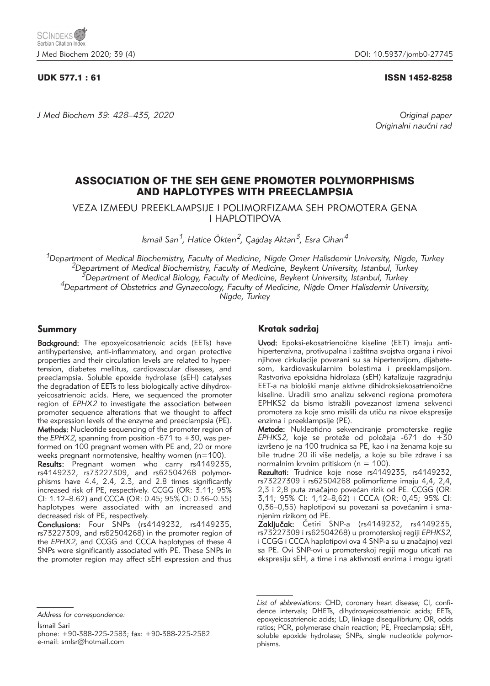*J Med Biochem 39: 428–435, 2020 Original paper*

# UDK 577.1 : 61 ISSN 1452-8258

Originalni naučni rad

# ASSOCIATION OF THE SEH GENE PROMOTER POLYMORPHISMS AND HAPLOTYPES WITH PREECLAMPSIA

VEZA IZME\U PREEKLAMPSIJE I POLIMORFIZAMA SEH PROMOTERA GENA I HAPLOTIPOVA

İ*smail Sarı1, Hatice Ökten2, Ça*<sup>ğ</sup>*da*<sup>ş</sup> *Aktan3, Esra Cihan4*

<sup>1</sup>Department of Medical Biochemistry, Faculty of Medicine, Nigde Omer Halisdemir University, Nigde, Turkey<br><sup>2</sup>Department of Medical Biochemistry, Faculty of Medicine, Beykent University, Istanbul, Turkey<sup>3</sup>Department of *Nigde, Turkey*

# Summary

Background: The epoxyeicosatrienoic acids (EETs) have antihypertensive, anti-inflammatory, and organ protective properties and their circulation levels are related to hypertension, diabetes mellitus, cardiovascular diseases, and preeclampsia. Soluble epoxide hydrolase (sEH) catalyses the degradation of EETs to less biologically active dihydroxyeicosatrienoic acids. Here, we sequenced the promoter region of *EPHX2* to investigate the association between promoter sequence alterations that we thought to affect the expression levels of the enzyme and preeclampsia (PE). Methods: Nucleotide sequencing of the promoter region of the *EPHX2*, spanning from position -671 to +30, was performed on 100 pregnant women with PE and, 20 or more weeks pregnant normotensive, healthy women (n=100).

Results: Pregnant women who carry rs4149235, rs4149232, rs73227309, and rs62504268 polymorphisms have 4.4, 2.4, 2.3, and 2.8 times significantly increased risk of PE, respectively. CCGG (OR: 3.11; 95% CI: 1.12–8.62) and CCCA (OR: 0.45; 95% CI: 0.36–0.55) haplotypes were associated with an increased and decreased risk of PE, respectively.

Conclusions: Four SNPs (rs4149232, rs4149235, rs73227309, and rs62504268) in the promoter region of the *EPHX2*, and CCGG and CCCA haplotypes of these 4 SNPs were significantly associated with PE. These SNPs in the promoter region may affect sEH expression and thus

# Kratak sadržaj

Uvod: Epoksi-ekosatrienoične kiseline (EET) imaju antihipertenzivna, protivupalna i zaštitna svojstva organa i nivoi njihove cirkulacije povezani su sa hipertenzijom, dijabetesom, kardiovaskularnim bolestima i preeklampsijom. Rastvoriva epoksidna hidrolaza (sEH) katalizuje razgradnju EET-a na biološki manje aktivne dihidroksiekosatrienoične kiseline. Uradili smo analizu sekvenci regiona promotera EPHKS2 da bismo istražili povezanost izmena sekvenci promotera za koje smo mislili da utiču na nivoe ekspresije enzima i preeklampsije (PE).

Metode: Nukleotidno sekvenciranje promoterske regije *EPHKS2*, koje se proteže od položaja -671 do +30 izvršeno je na 100 trudnica sa PE, kao i na ženama koje su bile trudne 20 ili više nedelja, a koje su bile zdrave i sa normalnim krvnim pritiskom ( $n = 100$ ).

Rezultati: Trudnice koje nose rs4149235, rs4149232, rs73227309 i rs62504268 polimorfizme imaju 4,4, 2,4, 2,3 i 2,8 puta značajno povećan rizik od PE. CCGG (OR: 3,11; 95% CI: 1,12–8,62) i CCCA (OR: 0,45; 95% CI: 0,36–0,55) haplotipovi su povezani sa povećanim i smanjenim rizikom od PE.

Zaključak: Četiri SNP-a (rs4149232, rs4149235, rs73227309 i rs62504268) u promoterskoj regiji *EPHKS2*, i CCGG i CCCA haplotipovi ova 4 SNP-a su u značajnoj vezi sa PE. Ovi SNP-ovi u promoterskoj regiji mogu uticati na ekspresiju sEH, a time i na aktivnosti enzima i mogu igrati

İsmail Sari

*Address for correspondence:*

phone: +90-388-225-2583; fax: +90-388-225-2582 e-mail: smlsr@hotmail.com

*List of abbreviations:* CHD, coronary heart disease; CI, confidence intervals; DHETs, dihydroxyeicosatrienoic acids; EETs, epoxyeicosatrienoic acids; LD, linkage disequilibrium; OR, odds ratios; PCR, polymerase chain reaction; PE, Preeclampsia; sEH, soluble epoxide hydrolase; SNPs, single nucleotide polymorphisms.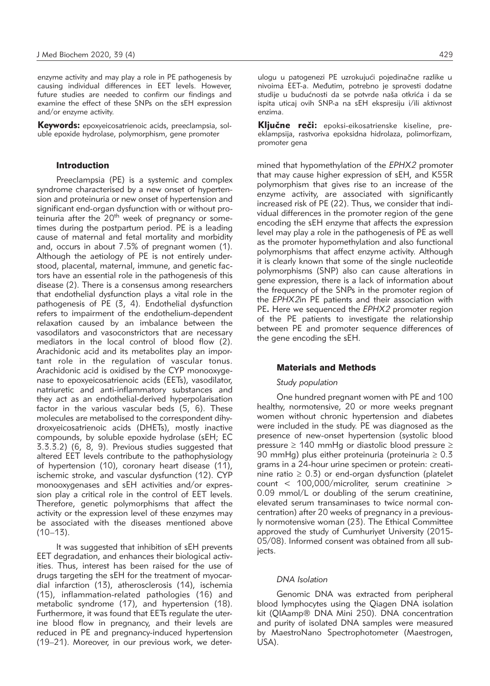enzyme activity and may play a role in PE pathogenesis by causing individual differences in EET levels. However, future studies are needed to confirm our findings and examine the effect of these SNPs on the sEH expression and/or enzyme activity.

Keywords: epoxyeicosatrienoic acids, preeclampsia, soluble epoxide hydrolase, polymorphism, gene promoter

# Introduction

Preeclampsia (PE) is a systemic and complex syndrome characterised by a new onset of hypertension and proteinuria or new onset of hypertension and significant end-organ dysfunction with or without proteinuria after the  $20<sup>th</sup>$  week of pregnancy or sometimes during the postpartum period. PE is a leading cause of maternal and fetal mortality and morbidity and, occurs in about 7.5% of pregnant women (1). Although the aetiology of PE is not entirely understood, placental, maternal, immune, and genetic factors have an essential role in the pathogenesis of this disease (2). There is a consensus among researchers that endothelial dysfunction plays a vital role in the pathogenesis of PE (3, 4). Endothelial dysfunction refers to impairment of the endothelium-dependent relaxation caused by an imbalance between the vasodilators and vasoconstrictors that are necessary mediators in the local control of blood flow (2). Arachidonic acid and its metabolites play an important role in the regulation of vascular tonus. Arachidonic acid is oxidised by the CYP monooxygenase to epoxyeicosatrienoic acids (EETs), vasodilator, natriuretic and anti-inflammatory substances and they act as an endothelial-derived hyperpolarisation factor in the various vascular beds (5, 6). These molecules are metabolised to the correspondent dihydroxyeicosatrienoic acids (DHETs), mostly inactive compounds, by soluble epoxide hydrolase (sEH; EC 3.3.3.2) (6, 8, 9). Previous studies suggested that altered EET levels contribute to the pathophysiology of hypertension (10), coronary heart disease (11), ischemic stroke, and vascular dysfunction (12). CYP monooxygenases and sEH activities and/or expression play a critical role in the control of EET levels. Therefore, genetic polymorphisms that affect the activity or the expression level of these enzymes may be associated with the diseases mentioned above  $(10-13)$ .

It was suggested that inhibition of sEH prevents EET degradation, and enhances their biological activities. Thus, interest has been raised for the use of drugs targeting the sEH for the treatment of myocardial infarction (13), atherosclerosis (14), ischemia (15), inflammation-related pathologies (16) and metabolic syndrome (17), and hypertension (18). Furthermore, it was found that EETs regulate the uterine blood flow in pregnancy, and their levels are reduced in PE and pregnancy-induced hypertension (19–21). Moreover, in our previous work, we deterulogu u patogenezi PE uzrokujući pojedinačne razlike u nivoima EET-a. Međutim, potrebno je sprovesti dodatne studije u budućnosti da se potvrde naša otkrića i da se ispita uticaj ovih SNP-a na sEH ekspresiju i/ili aktivnost enzima.

Ključne reči: epoksi-eikosatrienske kiseline, preeklampsija, rastvoriva epoksidna hidrolaza, polimorfizam, promoter gena

mined that hypomethylation of the *EPHX2* promoter that may cause higher expression of sEH, and K55R polymorphism that gives rise to an increase of the enzyme activity, are associated with significantly increased risk of PE (22). Thus, we consider that individual differences in the promoter region of the gene encoding the sEH enzyme that affects the expression level may play a role in the pathogenesis of PE as well as the promoter hypomethylation and also functional polymorphisms that affect enzyme activity. Although it is clearly known that some of the single nucleotide polymorphisms (SNP) also can cause alterations in gene expression, there is a lack of information about the frequency of the SNPs in the promoter region of the *EPHX2*in PE patients and their association with PE**.** Here we sequenced the *EPHX2* promoter region of the PE patients to investigate the relationship between PE and promoter sequence differences of the gene encoding the sEH.

## Materials and Methods

### *Study population*

One hundred pregnant women with PE and 100 healthy, normotensive, 20 or more weeks pregnant women without chronic hypertension and diabetes were included in the study. PE was diagnosed as the presence of new-onset hypertension (systolic blood pressure  $\geq$  140 mmHg or diastolic blood pressure  $\geq$ 90 mmHg) plus either proteinuria (proteinuria  $\geq 0.3$ grams in a 24-hour urine specimen or protein: creatinine ratio  $\geq$  0.3) or end-organ dysfunction (platelet count < 100,000/microliter, serum creatinine > 0.09 mmol/L or doubling of the serum creatinine, elevated serum transaminases to twice normal concentration) after 20 weeks of pregnancy in a previously normotensive woman (23). The Ethical Committee approved the study of Cumhuriyet University (2015- 05/08). Informed consent was obtained from all subjects.

# *DNA Isolation*

Genomic DNA was extracted from peripheral blood lymphocytes using the Qiagen DNA isolation kit (QIAamp® DNA Mini 250). DNA concentration and purity of isolated DNA samples were measured by MaestroNano Spectrophotometer (Maestrogen, USA).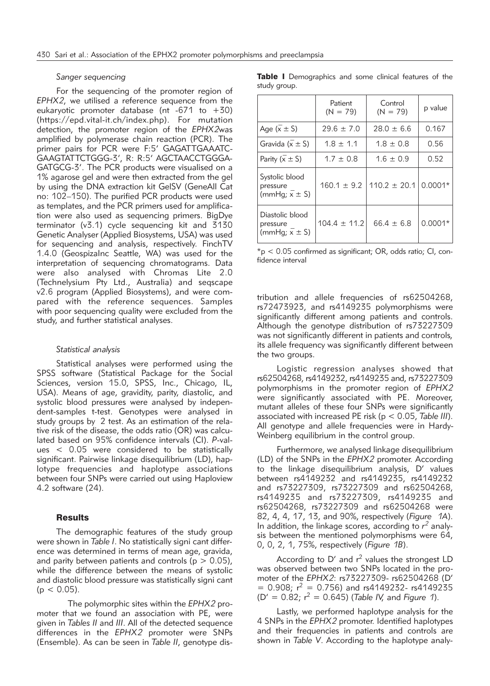# *Sanger sequencing*

For the sequencing of the promoter region of *EPHX2*, we utilised a reference sequence from the eukaryotic promoter database (nt -671 to  $+30$ ) (https://epd.vital-it.ch/index.php). For mutation detection, the promoter region of the *EPHX2*was amplified by polymerase chain reaction (PCR). The primer pairs for PCR were F:5' GAGATTGAAATC-GAAGTATTCTGGG-3', R: R:5' AGCTAACCTGGGA-GATGCG-3'. The PCR products were visualised on a 1% agarose gel and were then extracted from the gel by using the DNA extraction kit GelSV (GeneAll Cat no: 102–150). The purified PCR products were used as templates, and the PCR primers used for amplification were also used as sequencing primers. BigDye terminator (v3.1) cycle sequencing kit and 3130 Genetic Analyser (Applied Biosystems, USA) was used for sequencing and analysis, respectively. FinchTV 1.4.0 (GeospizaInc Seattle, WA) was used for the interpretation of sequencing chromatograms. Data were also analysed with Chromas Lite 2.0 (Technelysium Pty Ltd., Australia) and seqscape v2.6 program (Applied Biosystems), and were compared with the reference sequences. Samples with poor sequencing quality were excluded from the study, and further statistical analyses.

#### *Statistical analysis*

Statistical analyses were performed using the SPSS software (Statistical Package for the Social Sciences, version 15.0, SPSS, Inc., Chicago, IL, USA). Means of age, gravidity, parity, diastolic, and systolic blood pressures were analysed by independent-samples t-test. Genotypes were analysed in study groups by 2 test. As an estimation of the relative risk of the disease, the odds ratio (OR) was calculated based on 95% confidence intervals (CI). *P*-values < 0.05 were considered to be statistically significant. Pairwise linkage disequilibrium (LD), haplotype frequencies and haplotype associations between four SNPs were carried out using Haploview 4.2 software (24).

# **Results**

The demographic features of the study group were shown in *Table I*. No statistically signi cant difference was determined in terms of mean age, gravida, and parity between patients and controls ( $p > 0.05$ ), while the difference between the means of systolic and diastolic blood pressure was statistically signi cant  $(p < 0.05)$ .

 The polymorphic sites within the *EPHX2* promoter that we found an association with PE, were given in *Tables II* and *III*. All of the detected sequence differences in the *EPHX2* promoter were SNPs (Ensemble). As can be seen in *Table II*, genotype disTable I Demographics and some clinical features of the study group.

|                                                             | Patient<br>$(N = 79)$ | Control<br>$(N = 79)$ | p value   |
|-------------------------------------------------------------|-----------------------|-----------------------|-----------|
| Age $(\overline{x} \pm S)$                                  | $29.6 \pm 7.0$        | $28.0 \pm 6.6$        | 0.167     |
| Gravida $(\overline{x} \pm S)$                              | $1.8 \pm 1.1$         | $1.8 \pm 0.8$         | 0.56      |
| Parity $(\overline{x} \pm S)$                               | $1.7 \pm 0.8$         | $1.6 \pm 0.9$         | 0.52      |
| Systolic blood<br>pressure<br>(mmHg; $\overline{x} \pm S$ ) | $160.1 \pm 9.2$       | $110.2 \pm 20.1$      | $0.0001*$ |
| Diastolic blood<br>pressure<br>(mmHg; $x \pm S$ )           | $104.4 \pm 11.2$      | $66.4 \pm 6.8$        | $0.0001*$ |

 $*_{\text{p}}$  < 0.05 confirmed as significant; OR, odds ratio; CI, confidence interval

tribution and allele frequencies of rs62504268, rs72473923, and rs4149235 polymorphisms were significantly different among patients and controls. Although the genotype distribution of rs73227309 was not significantly different in patients and controls*,* its allele frequency was significantly different between the two groups.

Logistic regression analyses showed that rs62504268, rs4149232, rs4149235 and, rs73227309 polymorphisms in the promoter region of *EPHX2* were significantly associated with PE. Moreover, mutant alleles of these four SNPs were significantly associated with increased PE risk (p < 0.05, *Table III*). All genotype and allele frequencies were in Hardy-Weinberg equilibrium in the control group.

Furthermore, we analysed linkage disequilibrium (LD) of the SNPs in the *EPHX2* promoter. According to the linkage disequilibrium analysis, D' values between rs4149232 and rs4149235, rs4149232 and rs73227309, rs73227309 and rs62504268, rs4149235 and rs73227309, rs4149235 and rs62504268, rs73227309 and rs62504268 were 82, 4, 4, 17, 13, and 90%, respectively (*Figure 1A*). In addition, the linkage scores, according to *r <sup>2</sup>* analysis between the mentioned polymorphisms were 64, 0, 0, 2, 1, 75%, respectively (*Figure 1B*).

According to  $D'$  and  $r^2$  values the strongest LD was observed between two SNPs located in the promoter of the *EPHX2*: rs73227309- rs62504268 (D'  $= 0.908$ ;  $r^2 = 0.756$ ) and rs4149232- rs4149235 (D' = 0.82; r2 = 0.645) (*Table IV,* and *Figure 1*).

Lastly, we performed haplotype analysis for the 4 SNPs in the *EPHX2* promoter. Identified haplotypes and their frequencies in patients and controls are shown in *Table V*. According to the haplotype analy-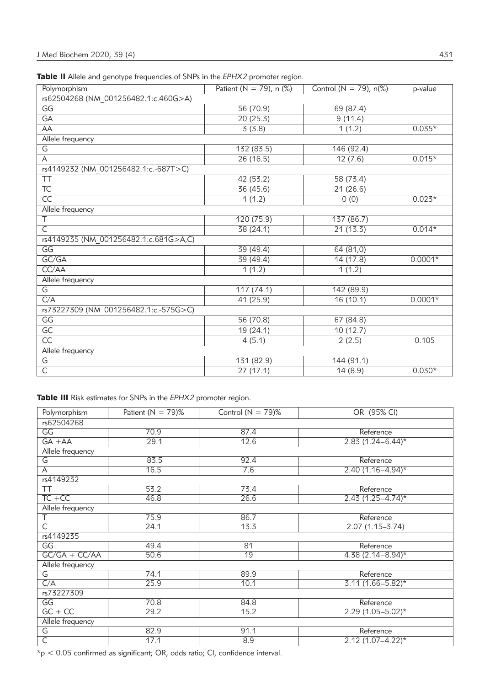|  |  |  |  | <b>Table II</b> Allele and genotype frequencies of SNPs in the EPHX2 promoter region. |  |
|--|--|--|--|---------------------------------------------------------------------------------------|--|
|--|--|--|--|---------------------------------------------------------------------------------------|--|

| rs62504268 (NM 001256482.1:c.460G>A)<br>$\overline{\mathsf{GG}}$<br>56(70.9)<br>69(87.4)<br>20(25.3)<br>9(11.4)<br>$\overline{GA}$<br>$0.035*$<br>3(3.8)<br>AA<br>1(1.2)<br>Allele frequency<br>132(83.5)<br>146 (92.4)<br>G<br>$0.015*$<br>26(16.5)<br>12(7.6)<br>A<br>rs4149232 (NM 001256482.1:c.-687T>C)<br><b>TT</b><br>42(53.2)<br>58(73.4)<br>$\overline{\text{TC}}$<br>36(45.6)<br>21(26.6)<br>$\overline{CC}$<br>1(1.2)<br>0(0)<br>$0.023*$<br>Allele frequency<br>$\overline{\top}$<br>120(75.9)<br>137(86.7)<br>$\overline{\mathsf{C}}$<br>21(13.3)<br>38(24.1)<br>$0.014*$<br>rs4149235 (NM 001256482.1:c.681G>A,C)<br>$\overline{\mathsf{GG}}$<br>39 (49.4)<br>64 (81,0)<br>GC/GA<br>39(49.4)<br>14(17.8)<br>$0.0001*$<br>CC/AA<br>1(1.2)<br>1(1.2)<br>Allele frequency<br>G<br>117(74.1)<br>142 (89.9)<br>C/A<br>16(10.1)<br>$0.0001*$<br>41(25.9)<br>rs73227309 (NM 001256482.1:c.-575G>C)<br>$\overline{\mathsf{GG}}$<br>56(70.8)<br>67 (84.8)<br>$\overline{GC}$<br>10(12.7)<br>19(24.1)<br>$\overline{CC}$<br>4(5.1)<br>0.105<br>2(2.5)<br>Allele frequency<br>G<br>131 (82.9)<br>144 (91.1)<br>$\overline{\mathsf{C}}$<br>27(17.1)<br>14(8.9)<br>$0.030*$ | Polymorphism | Patient (N = 79), n $(\%)$ | Control ( $N = 79$ ), n(%) | p-value |
|------------------------------------------------------------------------------------------------------------------------------------------------------------------------------------------------------------------------------------------------------------------------------------------------------------------------------------------------------------------------------------------------------------------------------------------------------------------------------------------------------------------------------------------------------------------------------------------------------------------------------------------------------------------------------------------------------------------------------------------------------------------------------------------------------------------------------------------------------------------------------------------------------------------------------------------------------------------------------------------------------------------------------------------------------------------------------------------------------------------------------------------------------------------------------|--------------|----------------------------|----------------------------|---------|
|                                                                                                                                                                                                                                                                                                                                                                                                                                                                                                                                                                                                                                                                                                                                                                                                                                                                                                                                                                                                                                                                                                                                                                              |              |                            |                            |         |
|                                                                                                                                                                                                                                                                                                                                                                                                                                                                                                                                                                                                                                                                                                                                                                                                                                                                                                                                                                                                                                                                                                                                                                              |              |                            |                            |         |
|                                                                                                                                                                                                                                                                                                                                                                                                                                                                                                                                                                                                                                                                                                                                                                                                                                                                                                                                                                                                                                                                                                                                                                              |              |                            |                            |         |
|                                                                                                                                                                                                                                                                                                                                                                                                                                                                                                                                                                                                                                                                                                                                                                                                                                                                                                                                                                                                                                                                                                                                                                              |              |                            |                            |         |
|                                                                                                                                                                                                                                                                                                                                                                                                                                                                                                                                                                                                                                                                                                                                                                                                                                                                                                                                                                                                                                                                                                                                                                              |              |                            |                            |         |
|                                                                                                                                                                                                                                                                                                                                                                                                                                                                                                                                                                                                                                                                                                                                                                                                                                                                                                                                                                                                                                                                                                                                                                              |              |                            |                            |         |
|                                                                                                                                                                                                                                                                                                                                                                                                                                                                                                                                                                                                                                                                                                                                                                                                                                                                                                                                                                                                                                                                                                                                                                              |              |                            |                            |         |
|                                                                                                                                                                                                                                                                                                                                                                                                                                                                                                                                                                                                                                                                                                                                                                                                                                                                                                                                                                                                                                                                                                                                                                              |              |                            |                            |         |
|                                                                                                                                                                                                                                                                                                                                                                                                                                                                                                                                                                                                                                                                                                                                                                                                                                                                                                                                                                                                                                                                                                                                                                              |              |                            |                            |         |
|                                                                                                                                                                                                                                                                                                                                                                                                                                                                                                                                                                                                                                                                                                                                                                                                                                                                                                                                                                                                                                                                                                                                                                              |              |                            |                            |         |
|                                                                                                                                                                                                                                                                                                                                                                                                                                                                                                                                                                                                                                                                                                                                                                                                                                                                                                                                                                                                                                                                                                                                                                              |              |                            |                            |         |
|                                                                                                                                                                                                                                                                                                                                                                                                                                                                                                                                                                                                                                                                                                                                                                                                                                                                                                                                                                                                                                                                                                                                                                              |              |                            |                            |         |
|                                                                                                                                                                                                                                                                                                                                                                                                                                                                                                                                                                                                                                                                                                                                                                                                                                                                                                                                                                                                                                                                                                                                                                              |              |                            |                            |         |
|                                                                                                                                                                                                                                                                                                                                                                                                                                                                                                                                                                                                                                                                                                                                                                                                                                                                                                                                                                                                                                                                                                                                                                              |              |                            |                            |         |
|                                                                                                                                                                                                                                                                                                                                                                                                                                                                                                                                                                                                                                                                                                                                                                                                                                                                                                                                                                                                                                                                                                                                                                              |              |                            |                            |         |
|                                                                                                                                                                                                                                                                                                                                                                                                                                                                                                                                                                                                                                                                                                                                                                                                                                                                                                                                                                                                                                                                                                                                                                              |              |                            |                            |         |
|                                                                                                                                                                                                                                                                                                                                                                                                                                                                                                                                                                                                                                                                                                                                                                                                                                                                                                                                                                                                                                                                                                                                                                              |              |                            |                            |         |
|                                                                                                                                                                                                                                                                                                                                                                                                                                                                                                                                                                                                                                                                                                                                                                                                                                                                                                                                                                                                                                                                                                                                                                              |              |                            |                            |         |
|                                                                                                                                                                                                                                                                                                                                                                                                                                                                                                                                                                                                                                                                                                                                                                                                                                                                                                                                                                                                                                                                                                                                                                              |              |                            |                            |         |
|                                                                                                                                                                                                                                                                                                                                                                                                                                                                                                                                                                                                                                                                                                                                                                                                                                                                                                                                                                                                                                                                                                                                                                              |              |                            |                            |         |
|                                                                                                                                                                                                                                                                                                                                                                                                                                                                                                                                                                                                                                                                                                                                                                                                                                                                                                                                                                                                                                                                                                                                                                              |              |                            |                            |         |
|                                                                                                                                                                                                                                                                                                                                                                                                                                                                                                                                                                                                                                                                                                                                                                                                                                                                                                                                                                                                                                                                                                                                                                              |              |                            |                            |         |
|                                                                                                                                                                                                                                                                                                                                                                                                                                                                                                                                                                                                                                                                                                                                                                                                                                                                                                                                                                                                                                                                                                                                                                              |              |                            |                            |         |
|                                                                                                                                                                                                                                                                                                                                                                                                                                                                                                                                                                                                                                                                                                                                                                                                                                                                                                                                                                                                                                                                                                                                                                              |              |                            |                            |         |
|                                                                                                                                                                                                                                                                                                                                                                                                                                                                                                                                                                                                                                                                                                                                                                                                                                                                                                                                                                                                                                                                                                                                                                              |              |                            |                            |         |
|                                                                                                                                                                                                                                                                                                                                                                                                                                                                                                                                                                                                                                                                                                                                                                                                                                                                                                                                                                                                                                                                                                                                                                              |              |                            |                            |         |
|                                                                                                                                                                                                                                                                                                                                                                                                                                                                                                                                                                                                                                                                                                                                                                                                                                                                                                                                                                                                                                                                                                                                                                              |              |                            |                            |         |
|                                                                                                                                                                                                                                                                                                                                                                                                                                                                                                                                                                                                                                                                                                                                                                                                                                                                                                                                                                                                                                                                                                                                                                              |              |                            |                            |         |

Table III Risk estimates for SNPs in the *EPHX2* promoter region.

| Polymorphism                    | Patient ( $N = 79$ )% | Control ( $N = 79$ )% | OR (95% CI)                       |
|---------------------------------|-----------------------|-----------------------|-----------------------------------|
| rs62504268                      |                       |                       |                                   |
| GG                              | 70.9                  | 87.4                  | Reference                         |
| $GA + AA$                       | 29.1                  | 12.6                  | $2.83(1.24 - 6.44)^{*}$           |
| Allele frequency                |                       |                       |                                   |
| G                               | 83.5                  | 92.4                  | Reference                         |
| A                               | 16.5                  | 7.6                   | $2.40(1.16 - 4.94)^{*}$           |
| rs4149232                       |                       |                       |                                   |
| <b>TT</b>                       | 53.2                  | 73.4                  | Reference                         |
| $TC + CC$                       | 46.8                  | 26.6                  | $2.43(1.25 - 4.74)^{*}$           |
| Allele frequency                |                       |                       |                                   |
| T                               | 75.9                  | 86.7                  | Reference                         |
| $\overline{\mathsf{C}}$         | 24.1                  | 13.3                  | $2.07(1.15 - 3.74)$               |
| rs4149235                       |                       |                       |                                   |
| $\overline{\mathsf{GG}}$        | 49.4                  | $\overline{81}$       | Reference                         |
| $GC/GA + CC/AA$                 | 50.6                  | 19                    | $4.38(2.14 - 8.94)^{*}$           |
| Allele frequency                |                       |                       |                                   |
| $\overline{\mathsf{G}}$         | 74.1                  | 89.9                  | Reference                         |
| C/A                             | 25.9                  | 10.1                  | $\overline{3.11 (1.66 - 5.82)^*}$ |
| rs73227309                      |                       |                       |                                   |
| $\overline{\mathsf{GG}}$        | 70.8                  | 84.8                  | Reference                         |
| $GC + CC$                       | 29.2                  | 15.2                  | $2.29(1.05 - 5.02)*$              |
| Allele frequency                |                       |                       |                                   |
| $\overline{\mathsf{G}}$<br>82.9 |                       | 91.1                  | Reference                         |
| $\overline{\mathsf{C}}$         | 17.1                  | 8.9                   | $2.12(1.07 - 4.22)^{*}$           |

 $*_{p}$  < 0.05 confirmed as significant; OR, odds ratio; CI, confidence interval.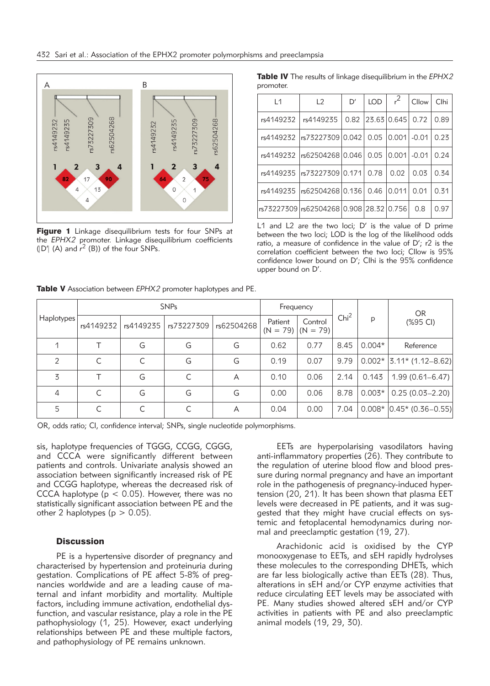

Figure 1 Linkage disequilibrium tests for four SNPs at the *EPHX2* promoter. Linkage disequilibrium coefficients  $(|D'|$  (A) and  $r^2$  (B)) of the four SNPs.

|           |  | <b>Table IV</b> The results of linkage disequilibrium in the EPHX2 |  |
|-----------|--|--------------------------------------------------------------------|--|
| promoter. |  |                                                                    |  |

| L1        | L2                                      | D'   | <b>LOD</b> | $r^2$       | Cllow   | Clhi |
|-----------|-----------------------------------------|------|------------|-------------|---------|------|
| rs4149232 | rs4149235                               | 0.82 |            | 23.63 0.645 | 0.72    | 0.89 |
| rs4149232 | rs7322730910.0421                       |      | 0.05       | 0.001       | $-0.01$ | 0.23 |
| rs4149232 | rs6250426810.046                        |      | 0.05       | 10.0011     | $-0.01$ | 0.24 |
| rs4149235 | rs7322730910.1711                       |      | 0.78       | 0.02        | 0.03    | 0.34 |
| rs4149235 | rs6250426810.1361                       |      | 0.46       | 0.011       | 0.01    | 0.31 |
|           | rs73227309 rs62504268 0.908 28.32 0.756 |      |            |             | 0.8     | 0.97 |

L1 and L2 are the two loci; D' is the value of D prime between the two loci; LOD is the log of the likelihood odds ratio, a measure of confidence in the value of D'; r2 is the correlation coefficient between the two loci; CIlow is 95% confidence lower bound on D'; CIhi is the 95% confidence upper bound on D'.

|  | Haplotypes <sup>1</sup> | <b>SNPs</b> |           |            |            | Frequency |                                  |                  |          | <b>OR</b>                     |
|--|-------------------------|-------------|-----------|------------|------------|-----------|----------------------------------|------------------|----------|-------------------------------|
|  |                         | rs4149232   | rs4149235 | rs73227309 | rs62504268 | Patient   | Control<br>$(N = 79)$ $(N = 79)$ | Chi <sup>2</sup> | p        | (%95 CI)                      |
|  |                         |             | G         | G          | G          | 0.62      | 0.77                             | 8.45             | $0.004*$ | Reference                     |
|  | $\mathcal{P}$           |             |           | G          | G          | 0.19      | 0.07                             | 9.79             |          | $0.002*$ 3.11* (1.12–8.62)    |
|  | 3                       |             | G         |            | A          | 0.10      | 0.06                             | 2.14             | 0.143    | $1.99(0.61 - 6.47)$           |
|  | $\overline{4}$          | $\subset$   | G         | G          | G          | 0.00      | 0.06                             | 8.78             | $0.003*$ | $0.25(0.03-2.20)$             |
|  | 5                       | $\subset$   |           |            | А          | 0.04      | 0.00                             | 7.04             |          | $0.008*$ $ 0.45*$ (0.36-0.55) |
|  |                         |             |           |            |            |           |                                  |                  |          |                               |

Table V Association between *EPHX2* promoter haplotypes and PE.

OR, odds ratio; CI, confidence interval; SNPs, single nucleotide polymorphisms.

sis, haplotype frequencies of TGGG, CCGG, CGGG, and CCCA were significantly different between patients and controls. Univariate analysis showed an association between significantly increased risk of PE and CCGG haplotype, whereas the decreased risk of CCCA haplotype ( $p < 0.05$ ). However, there was no statistically significant association between PE and the other 2 haplotypes ( $p > 0.05$ ).

### **Discussion**

PE is a hypertensive disorder of pregnancy and characterised by hypertension and proteinuria during gestation. Complications of PE affect 5-8% of pregnancies worldwide and are a leading cause of maternal and infant morbidity and mortality. Multiple factors, including immune activation, endothelial dysfunction, and vascular resistance, play a role in the PE pathophysiology (1, 25). However, exact underlying relationships between PE and these multiple factors, and pathophysiology of PE remains unknown.

EETs are hyperpolarising vasodilators having anti-inflammatory properties (26). They contribute to the regulation of uterine blood flow and blood pressure during normal pregnancy and have an important role in the pathogenesis of pregnancy-induced hypertension (20, 21). It has been shown that plasma EET levels were decreased in PE patients, and it was suggested that they might have crucial effects on systemic and fetoplacental hemodynamics during normal and preeclamptic gestation (19, 27).

Arachidonic acid is oxidised by the CYP monooxygenase to EETs, and sEH rapidly hydrolyses these molecules to the corresponding DHETs, which are far less biologically active than EETs (28). Thus, alterations in sEH and/or CYP enzyme activities that reduce circulating EET levels may be associated with PE. Many studies showed altered sEH and/or CYP activities in patients with PE and also preeclamptic animal models (19, 29, 30).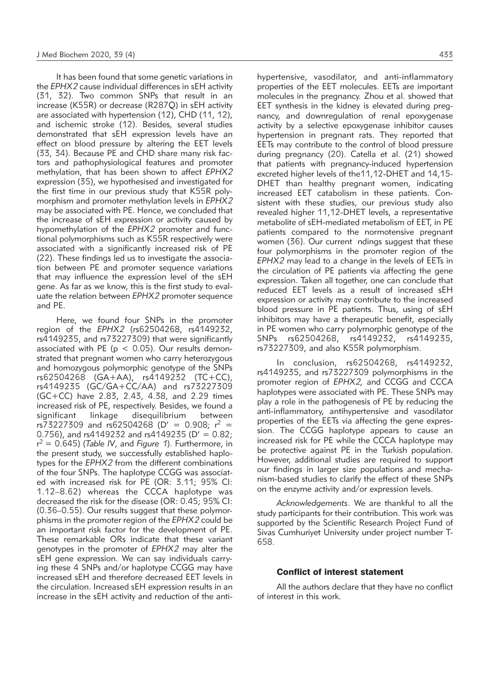It has been found that some genetic variations in the *EPHX2* cause individual differences in sEH activity (31, 32). Two common SNPs that result in an increase (K55R) or decrease (R287Q) in sEH activity are associated with hypertension (12), CHD (11, 12), and ischemic stroke (12). Besides*,* several studies demonstrated that sEH expression levels have an effect on blood pressure by altering the EET levels (33, 34). Because PE and CHD share many risk factors and pathophysiological features and promoter methylation, that has been shown to affect *EPHX2* expression (35), we hypothesised and investigated for the first time in our previous study that K55R polymorphism and promoter methylation levels in *EPHX2* may be associated with PE. Hence, we concluded that the increase of sEH expression or activity caused by hypomethylation of the *EPHX2* promoter and functional polymorphisms such as K55R respectively were associated with a significantly increased risk of PE (22). These findings led us to investigate the association between PE and promoter sequence variations that may influence the expression level of the sEH gene. As far as we know, this is the first study to evaluate the relation between *EPHX2* promoter sequence and PE.

Here, we found four SNPs in the promoter region of the *EPHX2* (rs62504268, rs4149232, rs4149235, and rs73227309) that were significantly associated with PE ( $p < 0.05$ ). Our results demonstrated that pregnant women who carry heterozygous and homozygous polymorphic genotype of the SNPs rs62504268 (GA+AA), rs4149232 (TC+CC), rs4149235 (GC/GA+CC/AA) and rs73227309 (GC+CC) have 2.83, 2.43, 4.38, and 2.29 times increased risk of PE, respectively. Besides, we found a significant linkage disequilibrium between  $rs\bar{7}3227309$  and  $rs\bar{6}2504268$  (D' = 0.908;  $r^2$  = 0.756), and rs4149232 and rs4149235 ( $D' = 0.82$ ) r 2 = 0.645) (*Table IV*, and *Figure 1*). Furthermore, in the present study, we successfully established haplotypes for the *EPHX2* from the different combinations of the four SNPs. The haplotype CCGG was associated with increased risk for PE (OR: 3.11; 95% CI: 1.12–8.62) whereas the CCCA haplotype was decreased the risk for the disease (OR: 0.45; 95% CI: (0.36–0.55). Our results suggest that these polymorphisms in the promoter region of the *EPHX2* could be an important risk factor for the development of PE. These remarkable ORs indicate that these variant genotypes in the promoter of *EPHX2* may alter the sEH gene expression. We can say individuals carrying these 4 SNPs and/or haplotype CCGG may have increased sEH and therefore decreased EET levels in the circulation. Increased sEH expression results in an increase in the sEH activity and reduction of the anti-

hypertensive, vasodilator, and anti-inflammatory properties of the EET molecules. EETs are important molecules in the pregnancy. Zhou et al. showed that EET synthesis in the kidney is elevated during pregnancy, and downregulation of renal epoxygenase activity by a selective epoxygenase inhibitor causes hypertension in pregnant rats. They reported that EETs may contribute to the control of blood pressure during pregnancy (20). Catella et al. (21) showed that patients with pregnancy-induced hypertension excreted higher levels of the11,12-DHET and 14,15- DHET than healthy pregnant women, indicating increased EET catabolism in these patients. Consistent with these studies, our previous study also revealed higher 11,12-DHET levels, a representative metabolite of sEH-mediated metabolism of EET, in PE patients compared to the normotensive pregnant women (36). Our current ndings suggest that these four polymorphisms in the promoter region of the *EPHX2* may lead to a change in the levels of EETs in the circulation of PE patients via affecting the gene expression. Taken all together, one can conclude that reduced EET levels as a result of increased sEH expression or activity may contribute to the increased blood pressure in PE patients. Thus, using of sEH inhibitors may have a therapeutic benefit, especially in PE women who carry polymorphic genotype of the SNPs rs62504268, rs4149232, rs4149235, rs73227309, and also K55R polymorphism.

In conclusion, rs62504268, rs4149232, rs4149235, and rs73227309 polymorphisms in the promoter region of *EPHX2,* and CCGG and CCCA haplotypes were associated with PE. These SNPs may play a role in the pathogenesis of PE by reducing the anti-inflammatory, antihypertensive and vasodilator properties of the EETs via affecting the gene expression. The CCGG haplotype appears to cause an increased risk for PE while the CCCA haplotype may be protective against PE in the Turkish population. However, additional studies are required to support our findings in larger size populations and mechanism-based studies to clarify the effect of these SNPs on the enzyme activity and/or expression levels.

*Acknowledgements*. We are thankful to all the study participants for their contribution. This work was supported by the Scientific Research Project Fund of Sivas Cumhuriyet University under project number T-658.

#### Conflict of interest statement

All the authors declare that they have no conflict of interest in this work.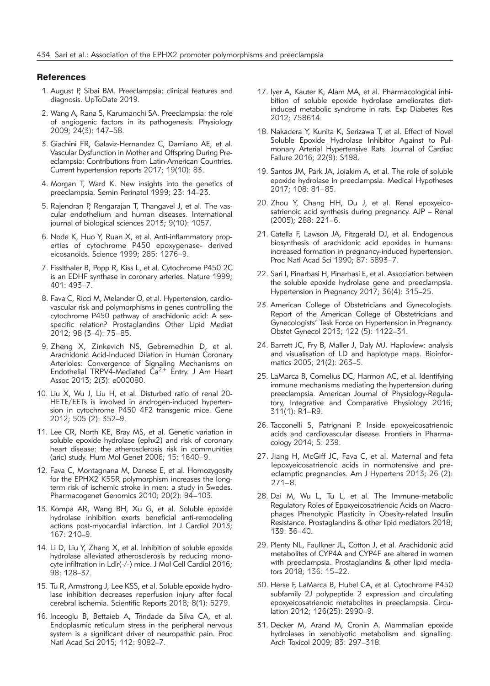### **References**

- 1. August P, Sibai BM. Preeclampsia: clinical features and diagnosis. UpToDate 2019.
- 2. Wang A, Rana S, Karumanchi SA. Preeclampsia: the role of angiogenic factors in its pathogenesis. Physiology 2009; 24(3): 147–58.
- 3. Giachini FR, Galaviz-Hernandez C, Damiano AE, et al. Vascular Dysfunction in Mother and Offspring During Preeclampsia: Contributions from Latin-American Countries. Current hypertension reports 2017; 19(10): 83.
- 4. Morgan T, Ward K. New insights into the genetics of preeclampsia. Semin Perinatol 1999; 23: 14–23.
- 5. Rajendran P, Rengarajan T, Thangavel J, et al. The vascular endothelium and human diseases. International journal of biological sciences 2013; 9(10): 1057.
- 6. Node K, Huo Y, Ruan X, et al. Anti-inflammatory properties of cytochrome P450 epoxygenase- derived eicosanoids. Science 1999; 285: 1276–9.
- 7. Fisslthaler B, Popp R, Kiss L, et al. Cytochrome P450 2C is an EDHF synthase in coronary arteries. Nature 1999; 401: 493–7.
- 8. Fava C, Ricci M, Melander O, et al. Hypertension, cardiovascular risk and polymorphisms in genes controlling the cytochrome P450 pathway of arachidonic acid: A sexspecific relation? Prostaglandins Other Lipid Mediat 2012; 98 (3–4): 75–85.
- 9. Zheng X, Zinkevich NS, Gebremedhin D, et al. Arachidonic Acid-Induced Dilation in Human Coronary Arterioles: Convergence of Signaling Mechanisms on Endothelial TRPV4-Mediated  $\check{Ca}^{2+}$  Entry. J Am Heart Assoc 2013; 2(3): e000080.
- 10. Liu X, Wu J, Liu H, et al. Disturbed ratio of renal 20- HETE/EETs is involved in androgen-induced hypertension in cytochrome P450 4F2 transgenic mice. Gene 2012; 505 (2): 352–9.
- 11. Lee CR, North KE, Bray MS, et al. Genetic variation in soluble epoxide hydrolase (ephx2) and risk of coronary heart disease: the atherosclerosis risk in communities (aric) study. Hum Mol Genet 2006; 15: 1640–9.
- 12. Fava C, Montagnana M, Danese E, et al. Homozygosity for the EPHX2 K55R polymorphism increases the longterm risk of ischemic stroke in men: a study in Swedes. Pharmacogenet Genomics 2010; 20(2): 94–103.
- 13. Kompa AR, Wang BH, Xu G, et al. Soluble epoxide hydrolase inhibition exerts beneficial anti-remodeling actions post-myocardial infarction. Int J Cardiol 2013; 167: 210–9.
- 14. Li D, Liu Y, Zhang X, et al. Inhibition of soluble epoxide hydrolase alleviated atherosclerosis by reducing monocyte infiltration in Ldlr(-/-) mice. J Mol Cell Cardiol 2016; 98: 128–37.
- 15. Tu R, Armstrong J, Lee KSS, et al. Soluble epoxide hydrolase inhibition decreases reperfusion injury after focal cerebral ischemia. Scientific Reports 2018; 8(1): 5279.
- 16. Inceoglu B, Bettaieb A, Trindade da Silva CA, et al. Endoplasmic reticulum stress in the peripheral nervous system is a significant driver of neuropathic pain. Proc Natl Acad Sci 2015; 112: 9082–7.
- 17. Iyer A, Kauter K, Alam MA, et al. Pharmacological inhibition of soluble epoxide hydrolase ameliorates dietinduced metabolic syndrome in rats. Exp Diabetes Res 2012; 758614.
- 18. Nakadera Y, Kunita K, Serizawa T, et al. Effect of Novel Soluble Epoxide Hydrolase Inhibitor Against to Pulmonary Arterial Hypertensive Rats. Journal of Cardiac Failure 2016; 22(9): S198.
- 19. Santos JM, Park JA, Joiakim A, et al. The role of soluble epoxide hydrolase in preeclampsia. Medical Hypotheses 2017; 108: 81–85.
- 20. Zhou Y, Chang HH, Du J, et al. Renal epoxyeicosatrienoic acid synthesis during pregnancy. AJP – Renal (2005); 288: 221–6.
- 21. Catella F, Lawson JA, Fitzgerald DJ, et al. Endogenous biosynthesis of arachidonic acid epoxides in humans: increased formation in pregnancy-induced hypertension. Proc Natl Acad Sci 1990; 87: 5893–7.
- 22. Sari I, Pinarbasi H, Pinarbasi E, et al. Association between the soluble epoxide hydrolase gene and preeclampsia. Hypertension in Pregnancy 2017; 36(4): 315–25.
- 23. American College of Obstetricians and Gynecologists. Report of the American College of Obstetricians and Gynecologists' Task Force on Hypertension in Pregnancy. Obstet Gynecol 2013; 122 (5): 1122–31.
- 24. Barrett JC, Fry B, Maller J, Daly MJ. Haploview: analysis and visualisation of LD and haplotype maps. Bioinformatics 2005; 21(2): 263–5.
- 25. LaMarca B, Cornelius DC, Harmon AC, et al. Identifying immune mechanisms mediating the hypertension during preeclampsia. American Journal of Physiology-Regulatory, Integrative and Comparative Physiology 2016; 311(1): R1–R9.
- 26. Tacconelli S, Patrignani P. Inside epoxyeicosatrienoic acids and cardiovascular disease. Frontiers in Pharmacology 2014; 5: 239.
- 27. Jiang H, McGiff JC, Fava C, et al. Maternal and feta lepoxyeicosatrienoic acids in normotensive and preeclamptic pregnancies. Am J Hypertens 2013; 26 (2): 271–8.
- 28. Dai M, Wu L, Tu L, et al. The Immune-metabolic Regulatory Roles of Epoxyeicosatrienoic Acids on Macrophages Phenotypic Plasticity in Obesity-related Insulin Resistance. Prostaglandins & other lipid mediators 2018; 139: 36–40.
- 29. Plenty NL, Faulkner JL, Cotton J, et al. Arachidonic acid metabolites of CYP4A and CYP4F are altered in women with preeclampsia. Prostaglandins & other lipid mediators 2018; 136: 15–22.
- 30. Herse F, LaMarca B, Hubel CA, et al. Cytochrome P450 subfamily 2J polypeptide 2 expression and circulating epoxyeicosatrienoic metabolites in preeclampsia. Circulation 2012; 126(25): 2990–9.
- 31. Decker M, Arand M, Cronin A. Mammalian epoxide hydrolases in xenobiyotic metabolism and signalling. Arch Toxicol 2009; 83: 297–318.